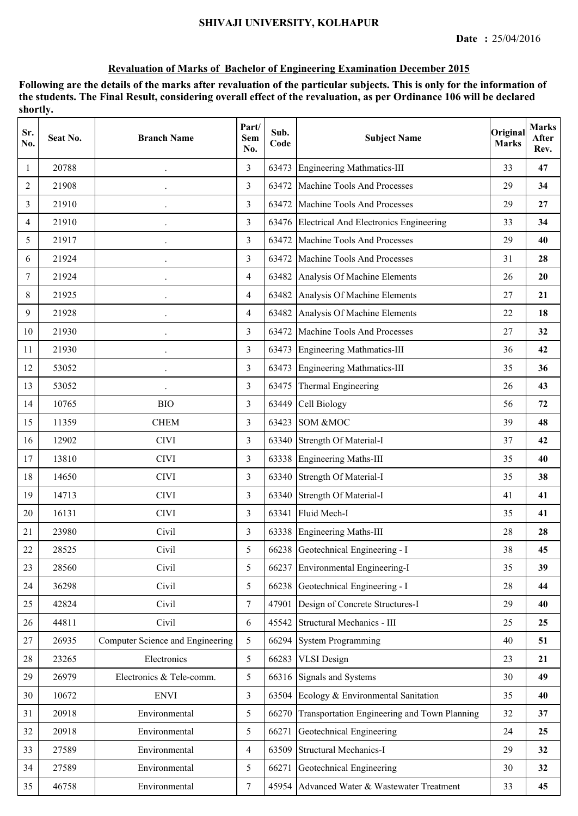# **Revaluation of Marks of Bachelor of Engineering Examination December 2015**

| Sr.<br>No.     | Seat No. | <b>Branch Name</b>               | Part/<br><b>Sem</b><br>No. | Sub.<br>Code | <b>Subject Name</b>                          | Original<br><b>Marks</b> | <b>Marks</b><br>After<br>Rev. |
|----------------|----------|----------------------------------|----------------------------|--------------|----------------------------------------------|--------------------------|-------------------------------|
| 1              | 20788    |                                  | 3                          | 63473        | <b>Engineering Mathmatics-III</b>            | 33                       | 47                            |
| $\overline{2}$ | 21908    |                                  | $\overline{3}$             | 63472        | Machine Tools And Processes                  | 29                       | 34                            |
| 3              | 21910    | $\bullet$                        | 3                          | 63472        | Machine Tools And Processes                  | 29                       | 27                            |
| 4              | 21910    |                                  | 3                          |              | 63476 Electrical And Electronics Engineering | 33                       | 34                            |
| 5              | 21917    |                                  | 3                          | 63472        | Machine Tools And Processes                  | 29                       | 40                            |
| 6              | 21924    |                                  | $\overline{3}$             | 63472        | Machine Tools And Processes                  | 31                       | 28                            |
| 7              | 21924    |                                  | $\overline{4}$             | 63482        | Analysis Of Machine Elements                 | 26                       | 20                            |
| 8              | 21925    |                                  | $\overline{4}$             | 63482        | Analysis Of Machine Elements                 | 27                       | 21                            |
| 9              | 21928    |                                  | $\overline{4}$             | 63482        | Analysis Of Machine Elements                 | 22                       | 18                            |
| 10             | 21930    |                                  | 3                          | 63472        | Machine Tools And Processes                  | 27                       | 32                            |
| 11             | 21930    | $\ddot{\phantom{0}}$             | $\overline{3}$             | 63473        | <b>Engineering Mathmatics-III</b>            | 36                       | 42                            |
| 12             | 53052    | $\ddot{\phantom{0}}$             | 3                          | 63473        | Engineering Mathmatics-III                   | 35                       | 36                            |
| 13             | 53052    |                                  | $\overline{3}$             | 63475        | Thermal Engineering                          | 26                       | 43                            |
| 14             | 10765    | <b>BIO</b>                       | 3                          | 63449        | Cell Biology                                 | 56                       | 72                            |
| 15             | 11359    | <b>CHEM</b>                      | 3                          | 63423        | SOM &MOC                                     | 39                       | 48                            |
| 16             | 12902    | <b>CIVI</b>                      | 3                          | 63340        | <b>Strength Of Material-I</b>                | 37                       | 42                            |
| 17             | 13810    | <b>CIVI</b>                      | 3                          | 63338        | Engineering Maths-III                        | 35                       | 40                            |
| 18             | 14650    | <b>CIVI</b>                      | $\overline{3}$             | 63340        | Strength Of Material-I                       | 35                       | 38                            |
| 19             | 14713    | <b>CIVI</b>                      | 3                          |              | 63340 Strength Of Material-I                 | 41                       | 41                            |
| 20             | 16131    | <b>CIVI</b>                      | 3                          | 63341        | Fluid Mech-I                                 | 35                       | 41                            |
| 21             | 23980    | Civil                            | 3                          |              | 63338 Engineering Maths-III                  | 28                       | 28                            |
| 22             | 28525    | Civil                            | 5                          |              | 66238 Geotechnical Engineering - I           | 38                       | 45                            |
| 23             | 28560    | Civil                            | 5                          | 66237        | Environmental Engineering-I                  | 35                       | 39                            |
| 24             | 36298    | Civil                            | 5                          | 66238        | Geotechnical Engineering - I                 | 28                       | 44                            |
| 25             | 42824    | Civil                            | $\tau$                     | 47901        | Design of Concrete Structures-I              | 29                       | 40                            |
| 26             | 44811    | Civil                            | 6                          | 45542        | Structural Mechanics - III                   | 25                       | 25                            |
| 27             | 26935    | Computer Science and Engineering | 5                          | 66294        | <b>System Programming</b>                    | 40                       | 51                            |
| 28             | 23265    | Electronics                      | 5                          | 66283        | <b>VLSI</b> Design                           | 23                       | 21                            |
| 29             | 26979    | Electronics & Tele-comm.         | 5                          |              | 66316 Signals and Systems                    | 30                       | 49                            |
| 30             | 10672    | <b>ENVI</b>                      | $\overline{3}$             | 63504        | Ecology & Environmental Sanitation           | 35                       | 40                            |
| 31             | 20918    | Environmental                    | 5                          | 66270        | Transportation Engineering and Town Planning | 32                       | 37                            |
| 32             | 20918    | Environmental                    | 5                          | 66271        | Geotechnical Engineering                     | 24                       | 25                            |
| 33             | 27589    | Environmental                    | $\overline{4}$             | 63509        | <b>Structural Mechanics-I</b>                | 29                       | 32                            |
| 34             | 27589    | Environmental                    | 5                          | 66271        | Geotechnical Engineering                     | 30                       | 32                            |
| 35             | 46758    | Environmental                    | $\tau$                     |              | 45954 Advanced Water & Wastewater Treatment  | 33                       | 45                            |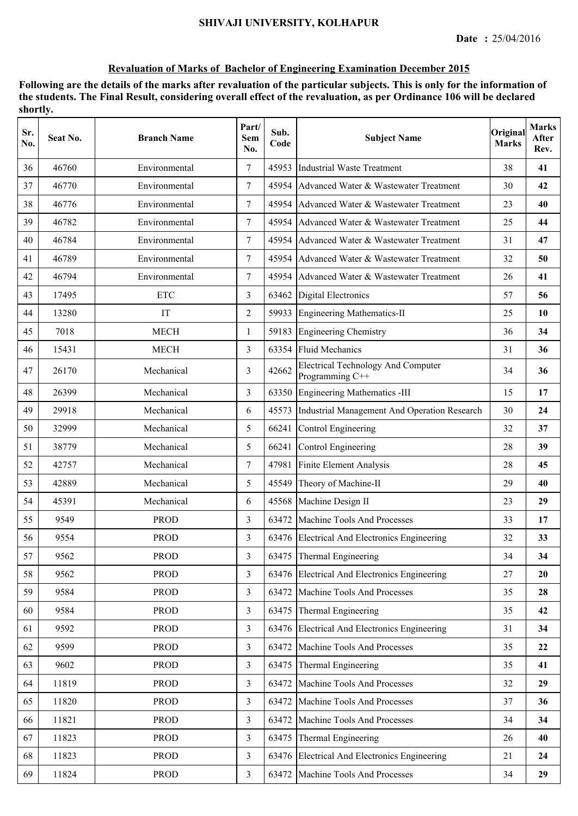# **Revaluation of Marks of Bachelor of Engineering Examination December 2015**

| Sr.<br>No. | Seat No. | <b>Branch Name</b> | Part/<br>Sem<br>No. | Sub.<br>Code | <b>Subject Name</b>                                          | Original<br><b>Marks</b> | <b>Marks</b><br>After<br>Rev. |
|------------|----------|--------------------|---------------------|--------------|--------------------------------------------------------------|--------------------------|-------------------------------|
| 36         | 46760    | Environmental      | $\tau$              | 45953        | <b>Industrial Waste Treatment</b>                            | 38                       | 41                            |
| 37         | 46770    | Environmental      | 7                   | 45954        | Advanced Water & Wastewater Treatment                        | 30                       | 42                            |
| 38         | 46776    | Environmental      | 7                   | 45954        | Advanced Water & Wastewater Treatment                        | 23                       | 40                            |
| 39         | 46782    | Environmental      | $\tau$              | 45954        | Advanced Water & Wastewater Treatment                        | 25                       | 44                            |
| 40         | 46784    | Environmental      | 7                   | 45954        | Advanced Water & Wastewater Treatment                        | 31                       | 47                            |
| 41         | 46789    | Environmental      | $\tau$              | 45954        | Advanced Water & Wastewater Treatment                        | 32                       | 50                            |
| 42         | 46794    | Environmental      | 7                   | 45954        | Advanced Water & Wastewater Treatment                        | 26                       | 41                            |
| 43         | 17495    | <b>ETC</b>         | 3                   | 63462        | <b>Digital Electronics</b>                                   | 57                       | 56                            |
| 44         | 13280    | IT                 | $\overline{2}$      | 59933        | <b>Engineering Mathematics-II</b>                            | 25                       | 10                            |
| 45         | 7018     | <b>MECH</b>        | 1                   | 59183        | <b>Engineering Chemistry</b>                                 | 36                       | 34                            |
| 46         | 15431    | <b>MECH</b>        | 3                   | 63354        | <b>Fluid Mechanics</b>                                       | 31                       | 36                            |
| 47         | 26170    | Mechanical         | 3                   | 42662        | <b>Electrical Technology And Computer</b><br>Programming C++ | 34                       | 36                            |
| 48         | 26399    | Mechanical         | 3                   |              | 63350 Engineering Mathematics -III                           | 15                       | 17                            |
| 49         | 29918    | Mechanical         | 6                   | 45573        | Industrial Management And Operation Research                 | 30                       | 24                            |
| 50         | 32999    | Mechanical         | 5                   | 66241        | Control Engineering                                          | 32                       | 37                            |
| 51         | 38779    | Mechanical         | 5                   | 66241        | Control Engineering                                          | 28                       | 39                            |
| 52         | 42757    | Mechanical         | $\tau$              | 47981        | Finite Element Analysis                                      | 28                       | 45                            |
| 53         | 42889    | Mechanical         | 5                   | 45549        | Theory of Machine-II                                         | 29                       | 40                            |
| 54         | 45391    | Mechanical         | 6                   | 45568        | Machine Design II                                            | 23                       | 29                            |
| 55         | 9549     | <b>PROD</b>        | 3                   | 63472        | Machine Tools And Processes                                  | 33                       | 17                            |
| 56         | 9554     | <b>PROD</b>        | 3                   |              | 63476 Electrical And Electronics Engineering                 | 32                       | 33                            |
| 57         | 9562     | <b>PROD</b>        | $\overline{3}$      |              | 63475 Thermal Engineering                                    | 34                       | 34                            |
| 58         | 9562     | <b>PROD</b>        | $\overline{3}$      |              | 63476 Electrical And Electronics Engineering                 | 27                       | 20                            |
| 59         | 9584     | <b>PROD</b>        | $\overline{3}$      | 63472        | Machine Tools And Processes                                  | 35                       | 28                            |
| 60         | 9584     | <b>PROD</b>        | 3                   | 63475        | Thermal Engineering                                          | 35                       | 42                            |
| 61         | 9592     | <b>PROD</b>        | $\overline{3}$      |              | 63476 Electrical And Electronics Engineering                 | 31                       | 34                            |
| 62         | 9599     | <b>PROD</b>        | $\overline{3}$      | 63472        | Machine Tools And Processes                                  | 35                       | 22                            |
| 63         | 9602     | <b>PROD</b>        | $\overline{3}$      | 63475        | Thermal Engineering                                          | 35                       | 41                            |
| 64         | 11819    | <b>PROD</b>        | 3                   | 63472        | Machine Tools And Processes                                  | 32                       | 29                            |
| 65         | 11820    | <b>PROD</b>        | 3                   | 63472        | Machine Tools And Processes                                  | 37                       | 36                            |
| 66         | 11821    | <b>PROD</b>        | $\overline{3}$      | 63472        | Machine Tools And Processes                                  | 34                       | 34                            |
| 67         | 11823    | <b>PROD</b>        | $\overline{3}$      | 63475        | Thermal Engineering                                          | 26                       | 40                            |
| 68         | 11823    | <b>PROD</b>        | 3                   |              | 63476 Electrical And Electronics Engineering                 | 21                       | 24                            |
| 69         | 11824    | <b>PROD</b>        | $\mathfrak{Z}$      | 63472        | Machine Tools And Processes                                  | 34                       | 29                            |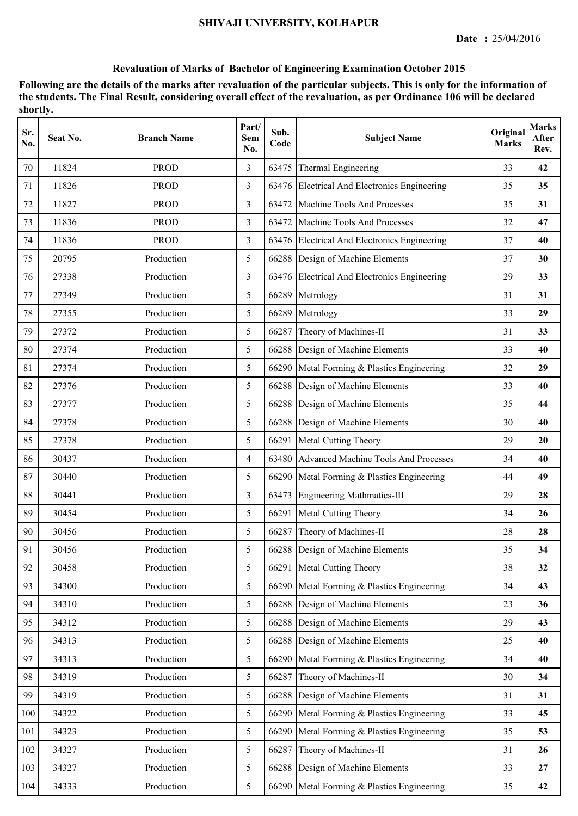### **Revaluation of Marks of Bachelor of Engineering Examination October 2015**

| Sr.<br>No. | Seat No. | <b>Branch Name</b> | Part/<br>Sem<br>No. | Sub.<br>Code | <b>Subject Name</b>                          | Original<br><b>Marks</b> | <b>Marks</b><br>After<br>Rev. |
|------------|----------|--------------------|---------------------|--------------|----------------------------------------------|--------------------------|-------------------------------|
| 70         | 11824    | <b>PROD</b>        | 3                   | 63475        | Thermal Engineering                          | 33                       | 42                            |
| 71         | 11826    | <b>PROD</b>        | 3                   |              | 63476 Electrical And Electronics Engineering | 35                       | 35                            |
| 72         | 11827    | <b>PROD</b>        | 3                   | 63472        | Machine Tools And Processes                  | 35                       | 31                            |
| 73         | 11836    | <b>PROD</b>        | 3                   | 63472        | Machine Tools And Processes                  | 32                       | 47                            |
| 74         | 11836    | <b>PROD</b>        | 3                   |              | 63476 Electrical And Electronics Engineering | 37                       | 40                            |
| 75         | 20795    | Production         | 5                   |              | 66288 Design of Machine Elements             | 37                       | 30                            |
| 76         | 27338    | Production         | 3                   |              | 63476 Electrical And Electronics Engineering | 29                       | 33                            |
| 77         | 27349    | Production         | 5                   | 66289        | Metrology                                    | 31                       | 31                            |
| 78         | 27355    | Production         | 5                   | 66289        | Metrology                                    | 33                       | 29                            |
| 79         | 27372    | Production         | 5                   | 66287        | Theory of Machines-II                        | 31                       | 33                            |
| 80         | 27374    | Production         | 5                   |              | 66288 Design of Machine Elements             | 33                       | 40                            |
| 81         | 27374    | Production         | 5                   |              | 66290 Metal Forming & Plastics Engineering   | 32                       | 29                            |
| 82         | 27376    | Production         | 5                   |              | 66288 Design of Machine Elements             | 33                       | 40                            |
| 83         | 27377    | Production         | 5                   | 66288        | Design of Machine Elements                   | 35                       | 44                            |
| 84         | 27378    | Production         | 5                   | 66288        | Design of Machine Elements                   | 30                       | 40                            |
| 85         | 27378    | Production         | 5                   | 66291        | Metal Cutting Theory                         | 29                       | 20                            |
| 86         | 30437    | Production         | $\overline{4}$      | 63480        | Advanced Machine Tools And Processes         | 34                       | 40                            |
| 87         | 30440    | Production         | 5                   | 66290        | Metal Forming & Plastics Engineering         | 44                       | 49                            |
| 88         | 30441    | Production         | 3                   | 63473        | <b>Engineering Mathmatics-III</b>            | 29                       | 28                            |
| 89         | 30454    | Production         | 5                   |              | 66291 Metal Cutting Theory                   | 34                       | 26                            |
| 90         | 30456    | Production         | 5                   | 66287        | Theory of Machines-II                        | 28                       | 28                            |
| 91         | 30456    | Production         | 5                   |              | 66288 Design of Machine Elements             | 35                       | 34                            |
| 92         | 30458    | Production         | 5                   | 66291        | Metal Cutting Theory                         | 38                       | 32                            |
| 93         | 34300    | Production         | 5                   | 66290        | Metal Forming & Plastics Engineering         | 34                       | 43                            |
| 94         | 34310    | Production         | 5                   | 66288        | Design of Machine Elements                   | 23                       | 36                            |
| 95         | 34312    | Production         | 5                   |              | 66288 Design of Machine Elements             | 29                       | 43                            |
| 96         | 34313    | Production         | 5                   |              | 66288 Design of Machine Elements             | 25                       | 40                            |
| 97         | 34313    | Production         | 5                   | 66290        | Metal Forming & Plastics Engineering         | 34                       | 40                            |
| 98         | 34319    | Production         | 5                   | 66287        | Theory of Machines-II                        | 30                       | 34                            |
| 99         | 34319    | Production         | 5                   | 66288        | Design of Machine Elements                   | 31                       | 31                            |
| 100        | 34322    | Production         | 5                   | 66290        | Metal Forming & Plastics Engineering         | 33                       | 45                            |
| 101        | 34323    | Production         | 5                   | 66290        | Metal Forming & Plastics Engineering         | 35                       | 53                            |
| 102        | 34327    | Production         | 5                   | 66287        | Theory of Machines-II                        | 31                       | 26                            |
| 103        | 34327    | Production         | 5                   |              | 66288 Design of Machine Elements             | 33                       | $27\,$                        |
| 104        | 34333    | Production         | 5                   |              | 66290 Metal Forming & Plastics Engineering   | 35                       | 42                            |